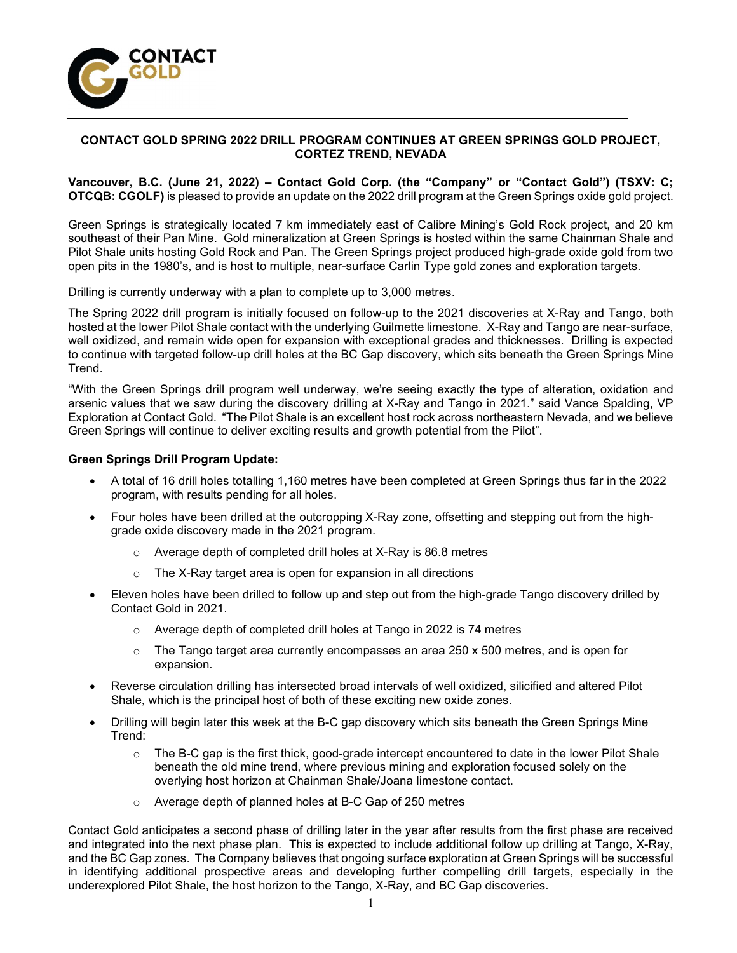

## CONTACT GOLD SPRING 2022 DRILL PROGRAM CONTINUES AT GREEN SPRINGS GOLD PROJECT, CORTEZ TREND, NEVADA

### Vancouver, B.C. (June 21, 2022) – Contact Gold Corp. (the "Company" or "Contact Gold") (TSXV: C; OTCQB: CGOLF) is pleased to provide an update on the 2022 drill program at the Green Springs oxide gold project.

Green Springs is strategically located 7 km immediately east of Calibre Mining's Gold Rock project, and 20 km southeast of their Pan Mine. Gold mineralization at Green Springs is hosted within the same Chainman Shale and Pilot Shale units hosting Gold Rock and Pan. The Green Springs project produced high-grade oxide gold from two open pits in the 1980's, and is host to multiple, near-surface Carlin Type gold zones and exploration targets.

Drilling is currently underway with a plan to complete up to 3,000 metres.

The Spring 2022 drill program is initially focused on follow-up to the 2021 discoveries at X-Ray and Tango, both hosted at the lower Pilot Shale contact with the underlying Guilmette limestone. X-Ray and Tango are near-surface, well oxidized, and remain wide open for expansion with exceptional grades and thicknesses. Drilling is expected to continue with targeted follow-up drill holes at the BC Gap discovery, which sits beneath the Green Springs Mine Trend.

"With the Green Springs drill program well underway, we're seeing exactly the type of alteration, oxidation and arsenic values that we saw during the discovery drilling at X-Ray and Tango in 2021." said Vance Spalding, VP Exploration at Contact Gold. "The Pilot Shale is an excellent host rock across northeastern Nevada, and we believe Green Springs will continue to deliver exciting results and growth potential from the Pilot".

### Green Springs Drill Program Update:

- A total of 16 drill holes totalling 1,160 metres have been completed at Green Springs thus far in the 2022 program, with results pending for all holes.
- Four holes have been drilled at the outcropping X-Ray zone, offsetting and stepping out from the highgrade oxide discovery made in the 2021 program.
	- o Average depth of completed drill holes at X-Ray is 86.8 metres
	- o The X-Ray target area is open for expansion in all directions
- Eleven holes have been drilled to follow up and step out from the high-grade Tango discovery drilled by Contact Gold in 2021.
	- o Average depth of completed drill holes at Tango in 2022 is 74 metres
	- $\circ$  The Tango target area currently encompasses an area 250 x 500 metres, and is open for expansion.
- Reverse circulation drilling has intersected broad intervals of well oxidized, silicified and altered Pilot Shale, which is the principal host of both of these exciting new oxide zones.
- Drilling will begin later this week at the B-C gap discovery which sits beneath the Green Springs Mine Trend:
	- o The B-C gap is the first thick, good-grade intercept encountered to date in the lower Pilot Shale beneath the old mine trend, where previous mining and exploration focused solely on the overlying host horizon at Chainman Shale/Joana limestone contact.
	- o Average depth of planned holes at B-C Gap of 250 metres

Contact Gold anticipates a second phase of drilling later in the year after results from the first phase are received and integrated into the next phase plan. This is expected to include additional follow up drilling at Tango, X-Ray, and the BC Gap zones. The Company believes that ongoing surface exploration at Green Springs will be successful in identifying additional prospective areas and developing further compelling drill targets, especially in the underexplored Pilot Shale, the host horizon to the Tango, X-Ray, and BC Gap discoveries.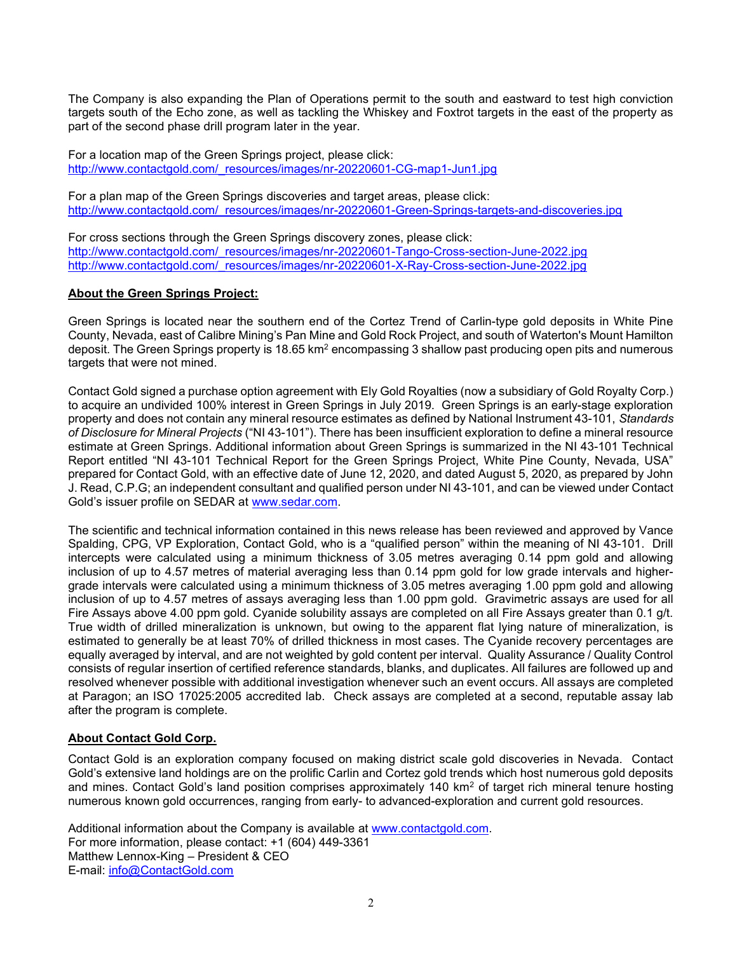The Company is also expanding the Plan of Operations permit to the south and eastward to test high conviction targets south of the Echo zone, as well as tackling the Whiskey and Foxtrot targets in the east of the property as part of the second phase drill program later in the year.

For a location map of the Green Springs project, please click: http://www.contactgold.com/\_resources/images/nr-20220601-CG-map1-Jun1.jpg

For a plan map of the Green Springs discoveries and target areas, please click: http://www.contactgold.com/\_resources/images/nr-20220601-Green-Springs-targets-and-discoveries.jpg

For cross sections through the Green Springs discovery zones, please click: http://www.contactgold.com/\_resources/images/nr-20220601-Tango-Cross-section-June-2022.jpg http://www.contactgold.com/\_resources/images/nr-20220601-X-Ray-Cross-section-June-2022.jpg

## About the Green Springs Project:

Green Springs is located near the southern end of the Cortez Trend of Carlin-type gold deposits in White Pine County, Nevada, east of Calibre Mining's Pan Mine and Gold Rock Project, and south of Waterton's Mount Hamilton deposit. The Green Springs property is 18.65 km² encompassing 3 shallow past producing open pits and numerous targets that were not mined.

Contact Gold signed a purchase option agreement with Ely Gold Royalties (now a subsidiary of Gold Royalty Corp.) to acquire an undivided 100% interest in Green Springs in July 2019. Green Springs is an early-stage exploration property and does not contain any mineral resource estimates as defined by National Instrument 43-101, Standards of Disclosure for Mineral Projects ("NI 43-101"). There has been insufficient exploration to define a mineral resource estimate at Green Springs. Additional information about Green Springs is summarized in the NI 43-101 Technical Report entitled "NI 43-101 Technical Report for the Green Springs Project, White Pine County, Nevada, USA" prepared for Contact Gold, with an effective date of June 12, 2020, and dated August 5, 2020, as prepared by John J. Read, C.P.G; an independent consultant and qualified person under NI 43-101, and can be viewed under Contact Gold's issuer profile on SEDAR at www.sedar.com.

The scientific and technical information contained in this news release has been reviewed and approved by Vance Spalding, CPG, VP Exploration, Contact Gold, who is a "qualified person" within the meaning of NI 43-101. Drill intercepts were calculated using a minimum thickness of 3.05 metres averaging 0.14 ppm gold and allowing inclusion of up to 4.57 metres of material averaging less than 0.14 ppm gold for low grade intervals and highergrade intervals were calculated using a minimum thickness of 3.05 metres averaging 1.00 ppm gold and allowing inclusion of up to 4.57 metres of assays averaging less than 1.00 ppm gold. Gravimetric assays are used for all Fire Assays above 4.00 ppm gold. Cyanide solubility assays are completed on all Fire Assays greater than 0.1 g/t. True width of drilled mineralization is unknown, but owing to the apparent flat lying nature of mineralization, is estimated to generally be at least 70% of drilled thickness in most cases. The Cyanide recovery percentages are equally averaged by interval, and are not weighted by gold content per interval. Quality Assurance / Quality Control consists of regular insertion of certified reference standards, blanks, and duplicates. All failures are followed up and resolved whenever possible with additional investigation whenever such an event occurs. All assays are completed at Paragon; an ISO 17025:2005 accredited lab. Check assays are completed at a second, reputable assay lab after the program is complete.

# About Contact Gold Corp.

Contact Gold is an exploration company focused on making district scale gold discoveries in Nevada. Contact Gold's extensive land holdings are on the prolific Carlin and Cortez gold trends which host numerous gold deposits and mines. Contact Gold's land position comprises approximately 140 km<sup>2</sup> of target rich mineral tenure hosting numerous known gold occurrences, ranging from early- to advanced-exploration and current gold resources.

Additional information about the Company is available at www.contactgold.com. For more information, please contact: +1 (604) 449-3361 Matthew Lennox-King – President &  $CEO$ E-mail: info@ContactGold.com